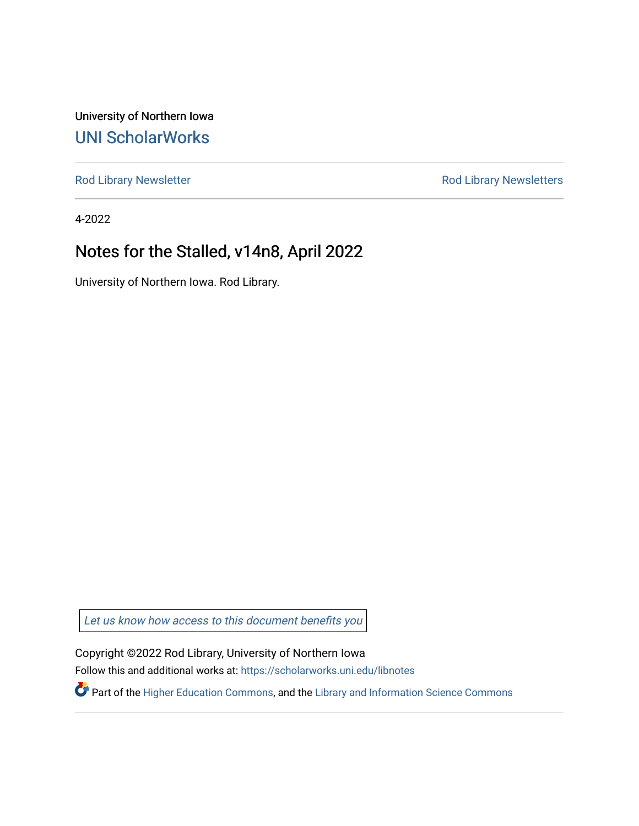University of Northern Iowa [UNI ScholarWorks](https://scholarworks.uni.edu/) 

[Rod Library Newsletter](https://scholarworks.uni.edu/libnotes) **Rod Library Newsletters** Rod Library Newsletters

4-2022

#### Notes for the Stalled, v14n8, April 2022

University of Northern Iowa. Rod Library.

[Let us know how access to this document benefits you](https://scholarworks.uni.edu/feedback_form.html) 

Copyright ©2022 Rod Library, University of Northern Iowa Follow this and additional works at: [https://scholarworks.uni.edu/libnotes](https://scholarworks.uni.edu/libnotes?utm_source=scholarworks.uni.edu%2Flibnotes%2F117&utm_medium=PDF&utm_campaign=PDFCoverPages) 

Part of the [Higher Education Commons,](http://network.bepress.com/hgg/discipline/1245?utm_source=scholarworks.uni.edu%2Flibnotes%2F117&utm_medium=PDF&utm_campaign=PDFCoverPages) and the [Library and Information Science Commons](http://network.bepress.com/hgg/discipline/1018?utm_source=scholarworks.uni.edu%2Flibnotes%2F117&utm_medium=PDF&utm_campaign=PDFCoverPages)